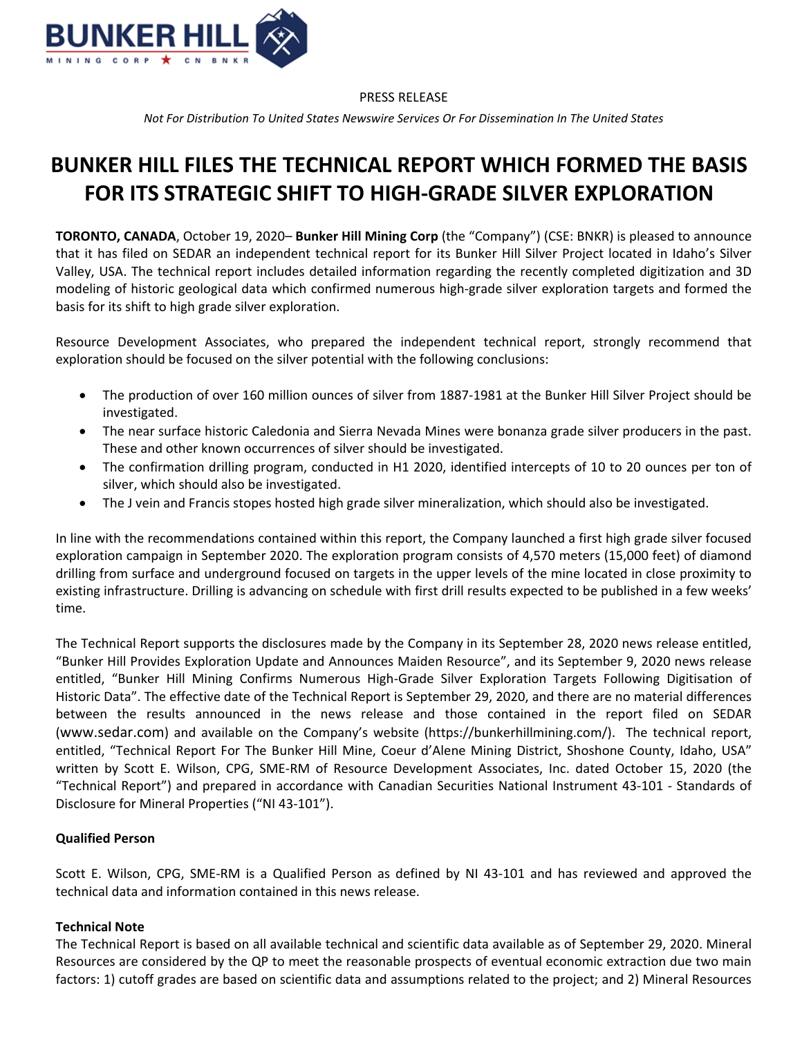

PRESS RELEASE

*Not For Distribution To United States Newswire Services Or For Dissemination In The United States*

# **BUNKER HILL FILES THE TECHNICAL REPORT WHICH FORMED THE BASIS FOR ITS STRATEGIC SHIFT TO HIGH‐GRADE SILVER EXPLORATION**

**TORONTO, CANADA**, October 19, 2020– **Bunker Hill Mining Corp** (the "Company") (CSE: BNKR) is pleased to announce that it has filed on SEDAR an independent technical report for its Bunker Hill Silver Project located in Idaho's Silver Valley, USA. The technical report includes detailed information regarding the recently completed digitization and 3D modeling of historic geological data which confirmed numerous high‐grade silver exploration targets and formed the basis for its shift to high grade silver exploration.

Resource Development Associates, who prepared the independent technical report, strongly recommend that exploration should be focused on the silver potential with the following conclusions:

- The production of over 160 million ounces of silver from 1887‐1981 at the Bunker Hill Silver Project should be investigated.
- The near surface historic Caledonia and Sierra Nevada Mines were bonanza grade silver producers in the past. These and other known occurrences of silver should be investigated.
- The confirmation drilling program, conducted in H1 2020, identified intercepts of 10 to 20 ounces per ton of silver, which should also be investigated.
- The J vein and Francis stopes hosted high grade silver mineralization, which should also be investigated.

In line with the recommendations contained within this report, the Company launched a first high grade silver focused exploration campaign in September 2020. The exploration program consists of 4,570 meters (15,000 feet) of diamond drilling from surface and underground focused on targets in the upper levels of the mine located in close proximity to existing infrastructure. Drilling is advancing on schedule with first drill results expected to be published in a few weeks' time.

The Technical Report supports the disclosures made by the Company in its September 28, 2020 news release entitled, "Bunker Hill Provides Exploration Update and Announces Maiden Resource", and its September 9, 2020 news release entitled, "Bunker Hill Mining Confirms Numerous High‐Grade Silver Exploration Targets Following Digitisation of Historic Data". The effective date of the Technical Report is September 29, 2020, and there are no material differences between the results announced in the news release and those contained in the report filed on SEDAR (www.sedar.com) and available on the Company's website (https://bunkerhillmining.com/). The technical report, entitled, "Technical Report For The Bunker Hill Mine, Coeur d'Alene Mining District, Shoshone County, Idaho, USA" written by Scott E. Wilson, CPG, SME‐RM of Resource Development Associates, Inc. dated October 15, 2020 (the "Technical Report") and prepared in accordance with Canadian Securities National Instrument 43‐101 ‐ Standards of Disclosure for Mineral Properties ("NI 43‐101").

## **Qualified Person**

Scott E. Wilson, CPG, SME‐RM is a Qualified Person as defined by NI 43‐101 and has reviewed and approved the technical data and information contained in this news release.

## **Technical Note**

The Technical Report is based on all available technical and scientific data available as of September 29, 2020. Mineral Resources are considered by the QP to meet the reasonable prospects of eventual economic extraction due two main factors: 1) cutoff grades are based on scientific data and assumptions related to the project; and 2) Mineral Resources